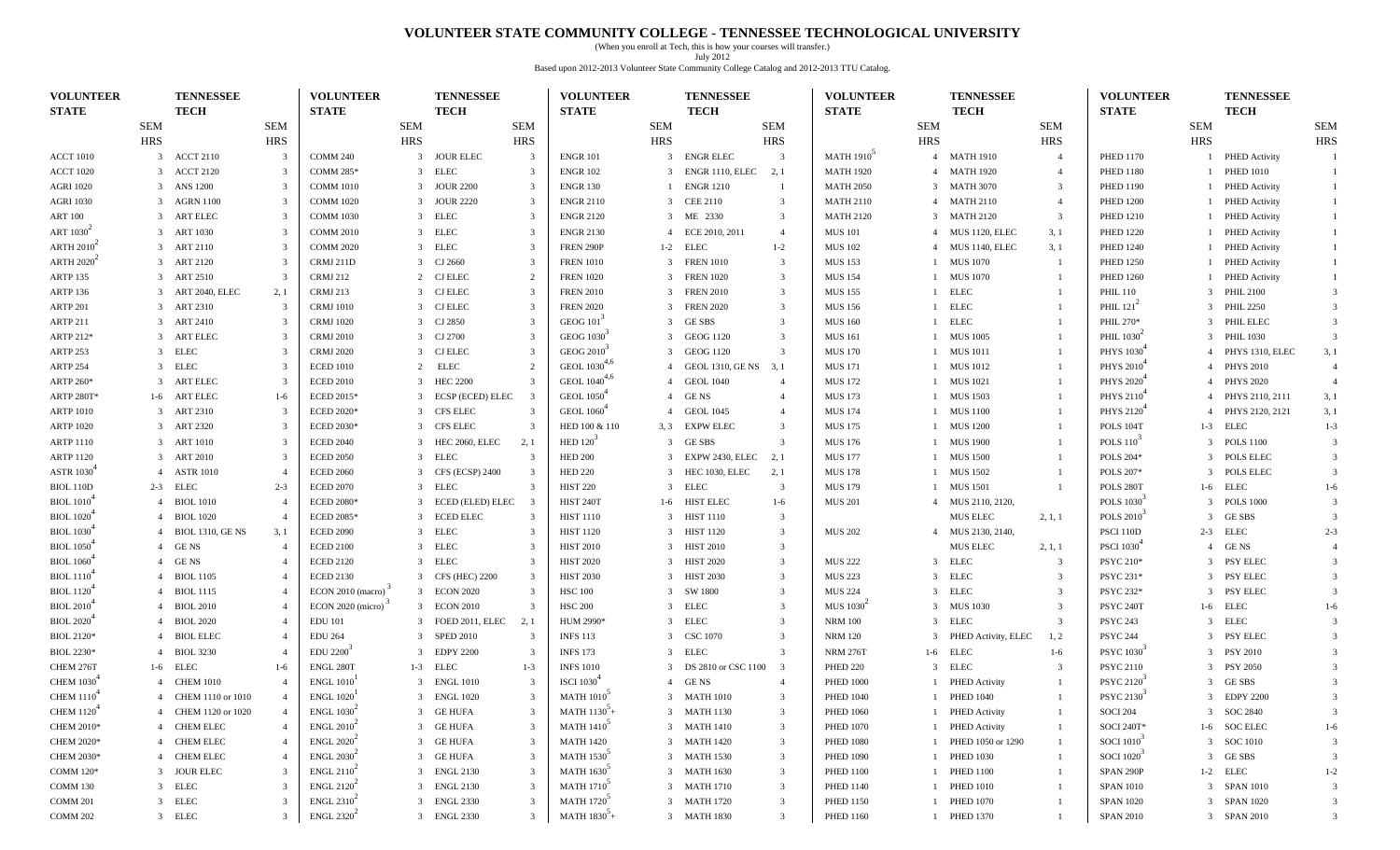#### **VOLUNTEER STATE COMMUNITY COLLEGE - TENNESSEE TECHNOLOGICAL UNIVERSITY**

(When you enroll at Tech, this is how your courses will transfer.) July 2012 Based upon 2012-2013 Volunteer State Community College Catalog and 2012-2013 TTU Catalog.

| <b>VOLUNTEER</b>              | <b>TENNESSEE</b>                   |                | <b>VOLUNTEER</b>                           |                | <b>TENNESSEE</b> |                         | <b>VOLUNTEER</b>              |                | <b>TENNESSEE</b>        |                         | <b>VOLUNTEER</b>                                |              | <b>TENNESSEE</b>      |                | <b>VOLUNTEER</b>       |            | <b>TENNESSEE</b>     |                |
|-------------------------------|------------------------------------|----------------|--------------------------------------------|----------------|------------------|-------------------------|-------------------------------|----------------|-------------------------|-------------------------|-------------------------------------------------|--------------|-----------------------|----------------|------------------------|------------|----------------------|----------------|
| <b>STATE</b>                  | <b>TECH</b>                        |                | <b>STATE</b>                               |                | <b>TECH</b>      |                         | <b>STATE</b>                  |                | <b>TECH</b>             |                         | <b>STATE</b>                                    |              | <b>TECH</b>           |                | <b>STATE</b>           |            | <b>TECH</b>          |                |
|                               | <b>SEM</b>                         | <b>SEM</b>     |                                            | SEM            |                  | <b>SEM</b>              |                               | <b>SEM</b>     |                         | <b>SEM</b>              |                                                 | <b>SEM</b>   |                       | <b>SEM</b>     |                        | <b>SEM</b> |                      | SEM            |
|                               | <b>HRS</b>                         | <b>HRS</b>     |                                            | <b>HRS</b>     |                  | <b>HRS</b>              |                               | <b>HRS</b>     |                         | <b>HRS</b>              |                                                 | <b>HRS</b>   |                       | <b>HRS</b>     |                        | <b>HRS</b> |                      | <b>HRS</b>     |
| <b>ACCT 1010</b>              | 3 ACCT 2110                        | -3             | COMM 240                                   |                | 3 JOUR ELEC      | 3                       | <b>ENGR 101</b>               | 3              | <b>ENGRELEC</b>         | $\overline{\mathbf{3}}$ | <b>MATH 1910</b>                                |              | 4 MATH 1910           | $\overline{4}$ | <b>PHED 1170</b>       |            | 1 PHED Activity      |                |
| <b>ACCT 1020</b>              | 3 ACCT 2120                        |                | <b>COMM 285*</b>                           | $\overline{3}$ | ELEC             | 3                       | <b>ENGR 102</b>               | 3              | ENGR 1110, ELEC         | 2, 1                    | <b>MATH 1920</b>                                |              | 4 MATH 1920           | $\overline{4}$ | <b>PHED 1180</b>       |            | <b>PHED 1010</b>     |                |
| <b>AGRI 1020</b>              | 3 ANS 1200                         |                | <b>COMM 1010</b>                           | 3              | <b>JOUR 2200</b> | 3                       | <b>ENGR 130</b>               |                | <b>ENGR 1210</b>        | -1                      | <b>MATH 2050</b>                                |              | 3 MATH 3070           | 3              | <b>PHED 1190</b>       |            | 1 PHED Activity      |                |
| <b>AGRI 1030</b>              | 3 AGRN 1100                        |                | <b>COMM 1020</b>                           |                | <b>JOUR 2220</b> | 3                       | <b>ENGR 2110</b>              |                | 3 CEE 2110              | $\overline{\mathbf{3}}$ | <b>MATH 2110</b>                                |              | 4 MATH 2110           | $\overline{4}$ | <b>PHED 1200</b>       |            | 1 PHED Activity      |                |
| <b>ART 100</b>                | ART ELEC<br>$\mathcal{R}$          |                | <b>COMM 1030</b>                           | 3              | ELEC             | 3                       | <b>ENGR 2120</b>              |                | 3 ME 2330               | $\overline{\mathbf{3}}$ | <b>MATH 2120</b>                                |              | 3 MATH 2120           | 3              | <b>PHED 1210</b>       |            | 1 PHED Activity      |                |
| ART 1030 <sup>-</sup>         | 3 ART 1030                         |                | <b>COMM 2010</b>                           | 3              | <b>ELEC</b>      | 3                       | <b>ENGR 2130</b>              | $\overline{4}$ | ECE 2010, 2011          | $\overline{4}$          | <b>MUS 101</b>                                  | 4            | <b>MUS 1120, ELEC</b> | 3, 1           | <b>PHED 1220</b>       |            | <b>PHED Activity</b> |                |
| ARTH $20102$                  | 3 ART 2110                         |                | <b>COMM 2020</b>                           | 3              | <b>ELEC</b>      | $\overline{3}$          | FREN 290P                     | $1-2$          | ELEC                    | $1 - 2$                 | <b>MUS 102</b>                                  | 4            | <b>MUS 1140, ELEC</b> | 3, 1           | <b>PHED 1240</b>       |            | 1 PHED Activity      |                |
| <b>ARTH 2020</b>              | 3 ART 2120                         | -3             | CRMJ 211D                                  | 3              | CJ 2660          | 3                       | <b>FREN 1010</b>              |                | 3 FREN 1010             | $\overline{\mathbf{3}}$ | <b>MUS 153</b>                                  | $\mathbf{1}$ | <b>MUS</b> 1070       | -1             | <b>PHED 1250</b>       |            | 1 PHED Activity      |                |
| <b>ARTP 135</b>               | 3 ART 2510                         |                | <b>CRMJ 212</b>                            |                | CJ ELEC          | 2                       | <b>FREN 1020</b>              | 3              | <b>FREN 1020</b>        | $\overline{\mathbf{3}}$ | <b>MUS 154</b>                                  |              | 1 MUS 1070            |                | <b>PHED 1260</b>       |            | 1 PHED Activity      |                |
| <b>ARTP 136</b>               | ART 2040, ELEC<br>$\mathcal{R}$    | 2, 1           | <b>CRMJ 213</b>                            | 3              | <b>CJ ELEC</b>   | 3                       | <b>FREN 2010</b>              |                | 3 FREN 2010             | $\overline{\mathbf{3}}$ | <b>MUS 155</b>                                  |              | 1 ELEC                |                | <b>PHIL 110</b>        |            | 3 PHIL 2100          |                |
| ARTP 201                      | 3 ART 2310                         | -3             | <b>CRMJ</b> 1010                           | 3              | <b>CJ ELEC</b>   | 3                       | <b>FREN 2020</b>              | 3              | <b>FREN 2020</b>        | $\overline{\mathbf{3}}$ | <b>MUS 156</b>                                  |              | 1 ELEC                |                | PHIL $121^2$           |            | 3 PHIL 2250          |                |
| ARTP 211                      | 3 ART 2410                         |                | <b>CRMJ</b> 1020                           | 3              | CJ 2850          | $\overline{3}$          | GEOG $101$                    |                | 3 GESBS                 | $\overline{\mathbf{3}}$ | <b>MUS 160</b>                                  | $\mathbf{1}$ | <b>ELEC</b>           |                | PHIL 270*              |            | 3 PHIL ELEC          | 3              |
| ARTP 212*                     | 3 ART ELEC                         |                | <b>CRMJ 2010</b>                           | 3              | CJ 2700          | 3                       | GEOG 1030 <sup>3</sup>        |                | 3 GEOG 1120             | $\overline{3}$          | <b>MUS 161</b>                                  | $\mathbf{1}$ | <b>MUS 1005</b>       |                | PHIL $10302$           |            | 3 PHIL 1030          | -3             |
| <b>ARTP 253</b>               | 3 ELEC                             |                | <b>CRMJ 2020</b>                           |                | CJ ELEC          | 3                       | GEOG 2010 <sup>3</sup>        |                | 3 GEOG 1120             | 3                       | <b>MUS 170</b>                                  |              | 1 MUS 1011            |                | PHYS 1030 <sup>+</sup> |            | 4 PHYS 1310, ELEC    | 3, 1           |
| <b>ARTP 254</b>               | <b>ELEC</b><br>3                   |                | <b>ECED 1010</b>                           | 2              | ELEC             | 2                       | GEOL 1030 <sup>4,6</sup>      |                | 4 GEOL 1310, GE NS 3, 1 |                         | <b>MUS 171</b>                                  |              | 1 MUS 1012            |                | PHYS 2010              |            | 4 PHYS 2010          |                |
| ARTP 260*                     | <b>ART ELEC</b><br>3               |                | <b>ECED 2010</b>                           | 3              | <b>HEC 2200</b>  | 3                       | GEOL 1040 <sup>4,6</sup>      |                | <b>GEOL 1040</b>        | $\overline{4}$          | <b>MUS 172</b>                                  |              | <b>MUS</b> 1021       |                | <b>PHYS 2020</b>       |            | 4 PHYS 2020          | $\overline{4}$ |
| <b>ARTP 280T*</b>             | <b>ART ELEC</b><br>$1-6$           | $1-6$          | ECED 2015*                                 | 3              | ECSP (ECED) ELEC | $\overline{\mathbf{3}}$ | <b>GEOL</b> 1050 <sup>*</sup> |                | 4 GENS                  | $\overline{4}$          | <b>MUS 173</b>                                  |              | <b>MUS</b> 1503       |                | PHYS 2110 <sup>4</sup> |            | 4 PHYS 2110, 2111    | 3, 1           |
| <b>ARTP 1010</b>              | 3 ART 2310                         | -3             | <b>ECED 2020*</b>                          | 3              | CFS ELEC         | 3                       | GEOL 1060 <sup>4</sup>        |                | 4 GEOL 1045             | $\overline{4}$          | <b>MUS 174</b>                                  | $\mathbf{1}$ | <b>MUS 1100</b>       |                | PHYS 2120              |            | 4 PHYS 2120, 2121    | 3,1            |
| <b>ARTP 1020</b>              | 3 ART 2320                         |                | <b>ECED 2030*</b>                          |                | CFS ELEC         | 3                       | HED 100 & 110                 | 3, 3           | <b>EXPW ELEC</b>        | 3                       | <b>MUS 175</b>                                  |              | 1 MUS 1200            |                | POLS 104T              |            | 1-3 ELEC             | $1 - 3$        |
| <b>ARTP 1110</b>              | 3 ART 1010                         |                | <b>ECED 2040</b>                           | 3              | HEC 2060, ELEC   | 2, 1                    | HED $120^3$                   |                | 3 GESBS                 | 3                       | <b>MUS 176</b>                                  |              | <b>MUS 1900</b>       |                | <b>POLS 110</b>        |            | 3 POLS 1100          | $\mathcal{R}$  |
| <b>ARTP 1120</b>              | ART 2010<br>3                      |                | <b>ECED 2050</b>                           | 3              | <b>ELEC</b>      | 3                       | <b>HED 200</b>                |                | EXPW 2430, ELEC         | 2, 1                    | <b>MUS 177</b>                                  |              | <b>MUS 1500</b>       |                | POLS 204*              |            | 3 POLS ELEC          | $\mathcal{R}$  |
| <b>ASTR 1030</b>              | <b>ASTR 1010</b><br>$\overline{4}$ |                | <b>ECED 2060</b>                           | 3              | CFS (ECSP) 2400  | $\overline{3}$          | <b>HED 220</b>                |                | 3 HEC 1030, ELEC        | 2, 1                    | <b>MUS 178</b>                                  |              | <b>MUS</b> 1502       |                | POLS 207*              |            | 3 POLS ELEC          | -3             |
| <b>BIOL 110D</b>              | 2-3 ELEC                           | $2 - 3$        | <b>ECED 2070</b>                           | 3              | <b>ELEC</b>      | 3                       | <b>HIST 220</b>               |                | 3 ELEC                  | $\overline{\mathbf{3}}$ | <b>MUS 179</b>                                  |              | <b>MUS</b> 1501       |                | POLS 280T              |            | 1-6 ELEC             | $1-6$          |
| <b>BIOL</b> 1010 <sup>+</sup> | 4 BIOL 1010                        |                | <b>ECED 2080*</b>                          |                | ECED (ELED) ELEC | -3                      | <b>HIST 240T</b>              | $1-6$          | HIST ELEC               | $1-6$                   | <b>MUS 201</b>                                  |              | 4 MUS 2110, 2120,     |                | POLS 1030              |            | 3 POLS 1000          |                |
| <b>BIOL</b> 1020 <sup>+</sup> | 4 BIOL 1020                        |                | <b>ECED 2085*</b>                          | 3              | <b>ECED ELEC</b> | 3                       | <b>HIST 1110</b>              |                | 3 HIST 1110             | $\overline{\mathbf{3}}$ |                                                 |              | MUS ELEC              | 2, 1, 1        | <b>POLS 2010</b>       |            | 3 GESBS              |                |
| <b>BIOL</b> 1030 <sup>+</sup> | 4 BIOL 1310, GE NS                 | 3, 1           | <b>ECED 2090</b>                           | 3              | <b>ELEC</b>      | 3                       | <b>HIST 1120</b>              | 3              | <b>HIST 1120</b>        | $\overline{\mathbf{3}}$ | <b>MUS 202</b>                                  |              | 4 MUS 2130, 2140,     |                | PSCI 110D              |            | $2-3$ ELEC           | $2 - 3$        |
| <b>BIOL</b> 1050 <sup>+</sup> | GE NS<br>$\overline{4}$            |                | <b>ECED 2100</b>                           | 3              | <b>ELEC</b>      | 3                       | <b>HIST 2010</b>              |                | 3 HIST 2010             | $\overline{\mathbf{3}}$ |                                                 |              | MUS ELEC              | 2, 1, 1        | <b>PSCI 1030</b>       |            | 4 GENS               |                |
| <b>BIOL</b> 1060 <sup>+</sup> | 4 GENS                             |                | <b>ECED 2120</b>                           | 3              | <b>ELEC</b>      | 3                       | <b>HIST 2020</b>              |                | 3 HIST 2020             | $\overline{\mathbf{3}}$ | <b>MUS 222</b>                                  |              | 3 ELEC                | 3              | PSYC 210*              |            | 3 PSY ELEC           | $\mathcal{R}$  |
| <b>BIOL</b> 1110 <sup>+</sup> | 4 BIOL 1105                        |                | <b>ECED 2130</b>                           |                | CFS (HEC) 2200   | $\mathbf{3}$            | <b>HIST 2030</b>              | 3              | <b>HIST 2030</b>        | $\overline{\mathbf{3}}$ | <b>MUS 223</b>                                  |              | 3 ELEC                | 3              | PSYC 231*              |            | 3 PSY ELEC           |                |
| <b>BIOL</b> 1120 <sup>+</sup> | 4 BIOL 1115                        |                | ECON 2010 (macro)                          |                | 3 ECON 2020      | 3                       | <b>HSC 100</b>                |                | 3 SW 1800               | $\overline{\mathbf{3}}$ | <b>MUS 224</b>                                  |              | 3 ELEC                | 3              | PSYC 232*              |            | 3 PSY ELEC           |                |
| <b>BIOL 2010</b>              | 4 BIOL 2010                        |                | ECON 2020 (micro)                          | 3              | <b>ECON 2010</b> | 3                       | <b>HSC 200</b>                | 3              | ELEC                    | $\overline{\mathbf{3}}$ | <b>MUS</b> 1030 <sup><math>\degree</math></sup> | $\mathbf{3}$ | <b>MUS 1030</b>       | 3              | PSYC 240T              |            | 1-6 ELEC             | $1-6$          |
| <b>BIOL 2020</b> <sup>+</sup> | 4 BIOL 2020                        |                | <b>EDU 101</b>                             | 3              | FOED 2011, ELEC  | 2, 1                    | HUM 2990*                     |                | 3 ELEC                  | $\overline{\mathbf{3}}$ | <b>NRM 100</b>                                  |              | 3 ELEC                | 3              | <b>PSYC 243</b>        |            | 3 ELEC               | $\mathcal{R}$  |
| <b>BIOL 2120*</b>             | 4 BIOL ELEC                        |                | <b>EDU 264</b>                             | 3              | <b>SPED 2010</b> | 3                       | <b>INFS 113</b>               |                | 3 CSC 1070              | -3                      | <b>NRM 120</b>                                  |              | 3 PHED Activity, ELEC | 1, 2           | <b>PSYC 244</b>        |            | 3 PSY ELEC           |                |
| <b>BIOL 2230*</b>             | <b>BIOL 3230</b><br>$\overline{4}$ |                | EDU 2200                                   |                | <b>EDPY 2200</b> | 3                       | <b>INFS 173</b>               |                | 3 ELEC                  | 3                       | <b>NRM 276T</b>                                 |              | 1-6 ELEC              | $1-6$          | PSYC 1030              |            | 3 PSY 2010           |                |
| CHEM 276T                     | $1-6$ ELEC                         | $1-6$          | ENGL 280T                                  |                | 1-3 ELEC         | $1 - 3$                 | <b>INFS 1010</b>              |                | 3 DS 2810 or CSC 1100   | $\overline{\mathbf{3}}$ | <b>PHED 220</b>                                 |              | 3 ELEC                | 3              | <b>PSYC 2110</b>       |            | 3 PSY 2050           |                |
| <b>CHEM 1030</b>              | 4 CHEM 1010                        |                | <b>ENGL 1010</b>                           | -3-            | <b>ENGL 1010</b> | 3                       | <b>ISCI</b> 1030              |                | 4 GENS                  | $\overline{4}$          | <b>PHED 1000</b>                                |              | 1 PHED Activity       |                | <b>PSYC 2120</b>       |            | 3 GESBS              |                |
| <b>CHEM 1110</b> <sup>4</sup> | 4 CHEM 1110 or 1010                |                | <b>ENGL 1020</b>                           |                | 3 ENGL 1020      | $\overline{3}$          | <b>MATH 1010</b>              |                | 3 MATH 1010             | $\overline{\mathbf{3}}$ | <b>PHED 1040</b>                                |              | 1 PHED 1040           |                | PSYC 2130 <sup>3</sup> |            | 3 EDPY 2200          | $\overline{3}$ |
| CHEM $11204$                  | 4 CHEM 1120 or 1020                | $\overline{4}$ | ENGL 1030 <sup>2</sup>                     |                | 3 GE HUFA        | 3 <sup>7</sup>          | $MATH 1130^{3}+$              |                | 3 MATH 1130             | 3                       | <b>PHED 1060</b>                                |              | 1 PHED Activity       |                | <b>SOCI 204</b>        |            | 3 SOC 2840           |                |
| <b>CHEM 2010*</b>             | 4 CHEM ELEC                        |                | ENGL 2010 <sup>2</sup>                     |                | 3 GE HUFA        | 3                       | <b>MATH 1410</b>              |                | 3 MATH 1410             | $\overline{\mathbf{3}}$ | <b>PHED 1070</b>                                |              | 1 PHED Activity       |                | SOCI 240T*             |            | 1-6 SOC ELEC         | $1-6$          |
| CHEM 2020*                    | 4 CHEM ELEC                        |                | ENGL 2020 <sup>2</sup>                     |                | 3 GE HUFA        | 3                       | <b>MATH 1420</b>              |                | 3 MATH 1420             | $\overline{\mathbf{3}}$ | <b>PHED 1080</b>                                |              | 1 PHED 1050 or 1290   |                | SOCI 1010 <sup>-</sup> |            | 3 SOC 1010           |                |
| CHEM 2030*                    | 4 CHEM ELEC                        |                | ENGL 2030 <sup>2</sup>                     |                | 3 GE HUFA        | 3                       | <b>MATH 1530</b> <sup>3</sup> |                | 3 MATH 1530             | $\overline{\mathbf{3}}$ | <b>PHED 1090</b>                                |              | 1 PHED 1030           |                | SOCI 1020              |            | 3 GESBS              |                |
| COMM 120*                     | 3 JOUR ELEC                        |                | $ENGL$ 2110 <sup><math>\angle</math></sup> |                | 3 ENGL 2130      | $\mathbf{3}$            | <b>MATH 1630</b> <sup>3</sup> |                | 3 MATH 1630             | $\overline{\mathbf{3}}$ | <b>PHED 1100</b>                                |              | 1 PHED 1100           |                | SPAN 290P              |            | $1-2$ ELEC           | $1 - 2$        |
| COMM 130                      | 3 ELEC                             |                | ENGL 2120 $2$                              |                | 3 ENGL 2130      | 3                       | <b>MATH 1710<sup>3</sup></b>  |                | 3 MATH 1710             | 3                       | <b>PHED 1140</b>                                |              | 1 PHED 1010           |                | <b>SPAN 1010</b>       |            | 3 SPAN 1010          | -3             |
| COMM 201                      | 3 ELEC                             |                | ENGL 2310 <sup>2</sup>                     |                | 3 ENGL 2330      | 3                       | <b>MATH 1720</b> <sup>5</sup> |                | 3 MATH 1720             | $\overline{\mathbf{3}}$ | <b>PHED 1150</b>                                |              | 1 PHED 1070           |                | <b>SPAN 1020</b>       |            | 3 SPAN 1020          | 3              |
| <b>COMM 202</b>               | 3 ELEC                             |                | ENGL 2320 $2$                              |                | 3 ENGL 2330      | 3                       | MATH $1830^3$ +               |                | 3 MATH 1830             | 3                       | <b>PHED 1160</b>                                |              | 1 PHED 1370           |                | <b>SPAN 2010</b>       |            | 3 SPAN 2010          |                |